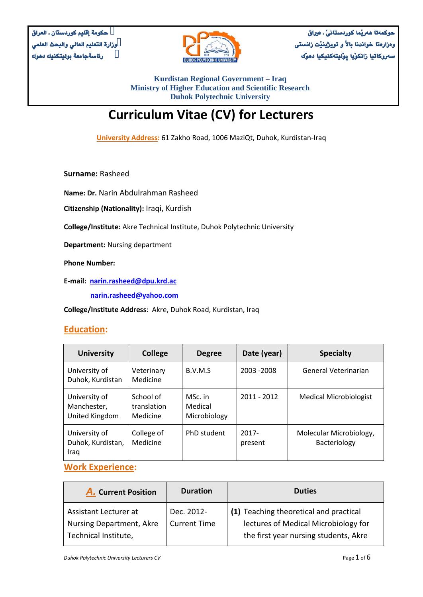

**حوكمةتا هةريَما كوردستانىَ ـ عرياق وةزارةتا خواندنا باالَ و تويذينيَت زانستى سةروكاتيا زانكوَيا ثوَليتةكنيكيا دهوَك** 

**Kurdistan Regional Government – Iraq Ministry of Higher Education and Scientific Research Duhok Polytechnic University**

# **Curriculum Vitae (CV) for Lecturers**

**University Address:** 61 Zakho Road, 1006 MaziQt, Duhok, Kurdistan-Iraq

**Surname:** Rasheed

**Name: Dr.** Narin Abdulrahman Rasheed

**Citizenship (Nationality):** Iraqi, Kurdish

**College/Institute:** Akre Technical Institute, Duhok Polytechnic University

**Department:** Nursing department

**Phone Number:** 

**E-mail: [narin.rasheed@dpu.krd.ac](mailto:narin.rasheed@dpu.krd.ac)**

 **[narin.rasheed@yahoo.com](mailto:narin.rasheed@yahoo.com)** 

**College/Institute Address**: Akre, Duhok Road, Kurdistan, Iraq

#### **Education:**

| <b>University</b>                              | <b>College</b>                       | <b>Degree</b>                      | Date (year)         | <b>Specialty</b>                        |
|------------------------------------------------|--------------------------------------|------------------------------------|---------------------|-----------------------------------------|
| University of<br>Duhok, Kurdistan              | Veterinary<br>Medicine               | B.V.M.S                            | 2003 - 2008         | General Veterinarian                    |
| University of<br>Manchester,<br>United Kingdom | School of<br>translation<br>Medicine | MSc. in<br>Medical<br>Microbiology | 2011 - 2012         | <b>Medical Microbiologist</b>           |
| University of<br>Duhok, Kurdistan,<br>Iraq     | College of<br>Medicine               | PhD student                        | $2017 -$<br>present | Molecular Microbiology,<br>Bacteriology |

## **Work Experience:**

| <b>A.</b> Current Position                               | <b>Duration</b>                   | <b>Duties</b>                                                                  |
|----------------------------------------------------------|-----------------------------------|--------------------------------------------------------------------------------|
| Assistant Lecturer at<br><b>Nursing Department, Akre</b> | Dec. 2012-<br><b>Current Time</b> | (1) Teaching theoretical and practical<br>lectures of Medical Microbiology for |
| Technical Institute,                                     |                                   | the first year nursing students, Akre                                          |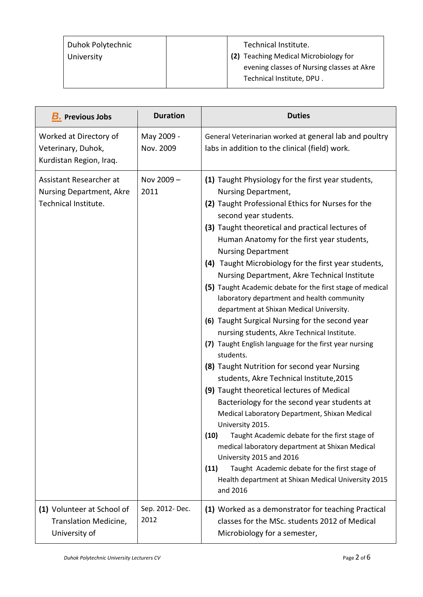| Duhok Polytechnic | Technical Institute.                       |  |
|-------------------|--------------------------------------------|--|
| University        | (2) Teaching Medical Microbiology for      |  |
|                   | evening classes of Nursing classes at Akre |  |
|                   | Technical Institute, DPU.                  |  |

| <b>B.</b> Previous Jobs                                                            | <b>Duration</b>         | <b>Duties</b>                                                                                                                                                                                                                                                                                                                                                                                                                                                                                                                                                                                                                                                                                                                                                                                                                                                                                                                                                                                                                                                                                                                                                                                                                                                     |
|------------------------------------------------------------------------------------|-------------------------|-------------------------------------------------------------------------------------------------------------------------------------------------------------------------------------------------------------------------------------------------------------------------------------------------------------------------------------------------------------------------------------------------------------------------------------------------------------------------------------------------------------------------------------------------------------------------------------------------------------------------------------------------------------------------------------------------------------------------------------------------------------------------------------------------------------------------------------------------------------------------------------------------------------------------------------------------------------------------------------------------------------------------------------------------------------------------------------------------------------------------------------------------------------------------------------------------------------------------------------------------------------------|
| Worked at Directory of<br>Veterinary, Duhok,<br>Kurdistan Region, Iraq.            | May 2009 -<br>Nov. 2009 | General Veterinarian worked at general lab and poultry<br>labs in addition to the clinical (field) work.                                                                                                                                                                                                                                                                                                                                                                                                                                                                                                                                                                                                                                                                                                                                                                                                                                                                                                                                                                                                                                                                                                                                                          |
| Assistant Researcher at<br><b>Nursing Department, Akre</b><br>Technical Institute. | Nov 2009-<br>2011       | (1) Taught Physiology for the first year students,<br>Nursing Department,<br>(2) Taught Professional Ethics for Nurses for the<br>second year students.<br>(3) Taught theoretical and practical lectures of<br>Human Anatomy for the first year students,<br><b>Nursing Department</b><br>(4) Taught Microbiology for the first year students,<br>Nursing Department, Akre Technical Institute<br>(5) Taught Academic debate for the first stage of medical<br>laboratory department and health community<br>department at Shixan Medical University.<br>(6) Taught Surgical Nursing for the second year<br>nursing students, Akre Technical Institute.<br>(7) Taught English language for the first year nursing<br>students.<br>(8) Taught Nutrition for second year Nursing<br>students, Akre Technical Institute, 2015<br>(9) Taught theoretical lectures of Medical<br>Bacteriology for the second year students at<br>Medical Laboratory Department, Shixan Medical<br>University 2015.<br>(10)<br>Taught Academic debate for the first stage of<br>medical laboratory department at Shixan Medical<br>University 2015 and 2016<br>Taught Academic debate for the first stage of<br>(11)<br>Health department at Shixan Medical University 2015<br>and 2016 |
| (1) Volunteer at School of<br>Translation Medicine,<br>University of               | Sep. 2012- Dec.<br>2012 | (1) Worked as a demonstrator for teaching Practical<br>classes for the MSc. students 2012 of Medical<br>Microbiology for a semester,                                                                                                                                                                                                                                                                                                                                                                                                                                                                                                                                                                                                                                                                                                                                                                                                                                                                                                                                                                                                                                                                                                                              |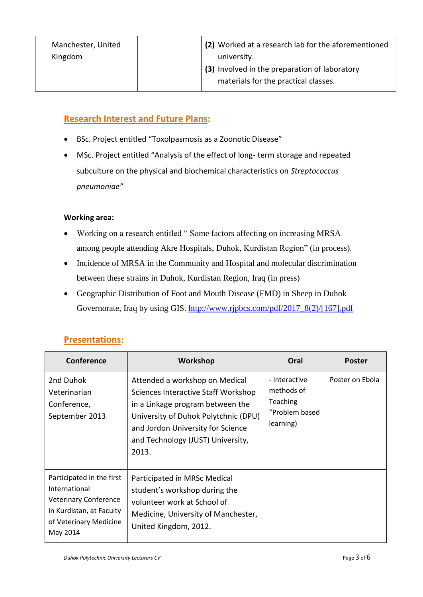| Manchester, United | (2) Worked at a research lab for the aforementioned |
|--------------------|-----------------------------------------------------|
| Kingdom            | university.                                         |
|                    | (3) Involved in the preparation of laboratory       |
|                    | materials for the practical classes.                |

# **Research Interest and Future Plans:**

- BSc. Project entitled "Toxolpasmosis as a Zoonotic Disease"
- MSc. Project entitled "Analysis of the effect of long- term storage and repeated subculture on the physical and biochemical characteristics on *Streptococcus pneumoniae"*

#### **Working area:**

- Working on a research entitled " Some factors affecting on increasing MRSA among people attending Akre Hospitals, Duhok, Kurdistan Region" (in process).
- Incidence of MRSA in the Community and Hospital and molecular discrimination between these strains in Duhok, Kurdistan Region, Iraq (in press)
- Geographic Distribution of Foot and Mouth Disease (FMD) in Sheep in Duhok Governorate, Iraq by using GIS. [http://www.rjpbcs.com/pdf/2017\\_8\(2\)/\[167\].pdf](http://www.rjpbcs.com/pdf/2017_8(2)/%5b167%5d.pdf)

| Conference                                                                                                                                   | Workshop                                                                                                                                                                                                                             | Oral                                                                          | <b>Poster</b>   |
|----------------------------------------------------------------------------------------------------------------------------------------------|--------------------------------------------------------------------------------------------------------------------------------------------------------------------------------------------------------------------------------------|-------------------------------------------------------------------------------|-----------------|
| 2nd Duhok<br>Veterinarian<br>Conference,<br>September 2013                                                                                   | Attended a workshop on Medical<br>Sciences Interactive Staff Workshop<br>in a Linkage program between the<br>University of Duhok Polytchnic (DPU)<br>and Jordon University for Science<br>and Technology (JUST) University,<br>2013. | - Interactive<br>methods of<br><b>Teaching</b><br>"Problem based<br>learning) | Poster on Ebola |
| Participated in the first<br>International<br><b>Veterinary Conference</b><br>in Kurdistan, at Faculty<br>of Veterinary Medicine<br>May 2014 | Participated in MRSc Medical<br>student's workshop during the<br>volunteer work at School of<br>Medicine, University of Manchester,<br>United Kingdom, 2012.                                                                         |                                                                               |                 |

## **Presentations:**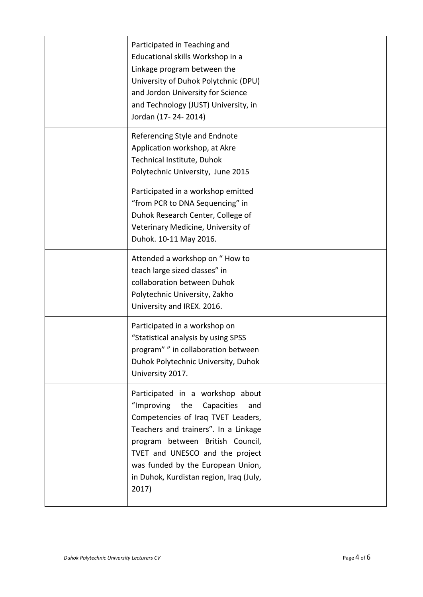| Participated in Teaching and<br>Educational skills Workshop in a<br>Linkage program between the<br>University of Duhok Polytchnic (DPU)<br>and Jordon University for Science<br>and Technology (JUST) University, in<br>Jordan (17-24-2014)                                                                           |  |
|-----------------------------------------------------------------------------------------------------------------------------------------------------------------------------------------------------------------------------------------------------------------------------------------------------------------------|--|
| Referencing Style and Endnote<br>Application workshop, at Akre<br>Technical Institute, Duhok<br>Polytechnic University, June 2015                                                                                                                                                                                     |  |
| Participated in a workshop emitted<br>"from PCR to DNA Sequencing" in<br>Duhok Research Center, College of<br>Veterinary Medicine, University of<br>Duhok. 10-11 May 2016.                                                                                                                                            |  |
| Attended a workshop on "How to<br>teach large sized classes" in<br>collaboration between Duhok<br>Polytechnic University, Zakho<br>University and IREX. 2016.                                                                                                                                                         |  |
| Participated in a workshop on<br>"Statistical analysis by using SPSS<br>program"" in collaboration between<br>Duhok Polytechnic University, Duhok<br>University 2017.                                                                                                                                                 |  |
| Participated in a workshop about<br>"Improving the<br>Capacities<br>and<br>Competencies of Iraq TVET Leaders,<br>Teachers and trainers". In a Linkage<br>program between British Council,<br>TVET and UNESCO and the project<br>was funded by the European Union,<br>in Duhok, Kurdistan region, Iraq (July,<br>2017) |  |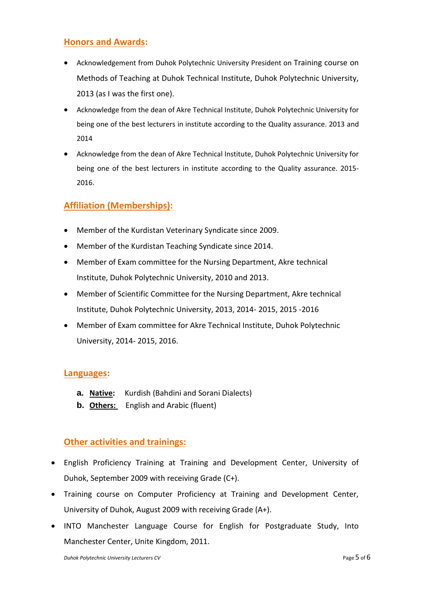## **Honors and Awards:**

- Acknowledgement from Duhok Polytechnic University President on Training course on Methods of Teaching at Duhok Technical Institute, Duhok Polytechnic University, 2013 (as I was the first one).
- Acknowledge from the dean of Akre Technical Institute, Duhok Polytechnic University for being one of the best lecturers in institute according to the Quality assurance. 2013 and 2014
- Acknowledge from the dean of Akre Technical Institute, Duhok Polytechnic University for being one of the best lecturers in institute according to the Quality assurance. 2015- 2016.

# **Affiliation (Memberships):**

- Member of the Kurdistan Veterinary Syndicate since 2009.
- Member of the Kurdistan Teaching Syndicate since 2014.
- Member of Exam committee for the Nursing Department, Akre technical Institute, Duhok Polytechnic University, 2010 and 2013.
- Member of Scientific Committee for the Nursing Department, Akre technical Institute, Duhok Polytechnic University, 2013, 2014- 2015, 2015 -2016
- Member of Exam committee for Akre Technical Institute, Duhok Polytechnic University, 2014- 2015, 2016.

#### **Languages:**

- **a. Native:** Kurdish (Bahdini and Sorani Dialects)
- **b.** Others: English and Arabic (fluent)

## **Other activities and trainings:**

- English Proficiency Training at Training and Development Center, University of Duhok, September 2009 with receiving Grade (C+).
- Training course on Computer Proficiency at Training and Development Center, University of Duhok, August 2009 with receiving Grade (A+).
- INTO Manchester Language Course for English for Postgraduate Study, Into Manchester Center, Unite Kingdom, 2011.